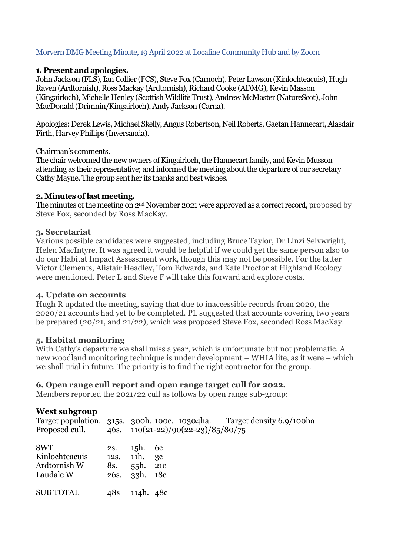## Morvern DMG Meeting Minute, 19April 2022 at Localine Community Hub and by Zoom

#### **1. Present and apologies.**

John Jackson (FLS), Ian Collier (FCS), Steve Fox (Carnoch), Peter Lawson (Kinlochteacuis), Hugh Raven (Ardtornish), Ross Mackay (Ardtornish), Richard Cooke (ADMG), Kevin Masson (Kingairloch), Michelle Henley (Scottish Wildlife Trust), Andrew McMaster (NatureScot), John MacDonald (Drimnin/Kingairloch), Andy Jackson (Carna).

Apologies: Derek Lewis, Michael Skelly, Angus Robertson, Neil Roberts, Gaetan Hannecart, Alasdair Firth, Harvey Phillips (Inversanda).

#### Chairman's comments.

The chair welcomed the new owners of Kingairloch, the Hannecart family, and Kevin Musson attending as their representative; and informed the meeting about the departure of our secretary Cathy Mayne. The group sent her its thanks and best wishes.

#### **2. Minutes of last meeting.**

The minutes of the meeting on 2nd November 2021 were approved as a correct record, proposed by Steve Fox, seconded by Ross MacKay.

### **3. Secretariat**

Various possible candidates were suggested, including Bruce Taylor, Dr Linzi Seivwright, Helen MacIntyre. It was agreed it would be helpful if we could get the same person also to do our Habitat Impact Assessment work, though this may not be possible. For the latter Victor Clements, Alistair Headley, Tom Edwards, and Kate Proctor at Highland Ecology were mentioned. Peter L and Steve F will take this forward and explore costs.

### **4. Update on accounts**

Hugh R updated the meeting, saying that due to inaccessible records from 2020, the 2020/21 accounts had yet to be completed. PL suggested that accounts covering two years be prepared (20/21, and 21/22), which was proposed Steve Fox, seconded Ross MacKay.

### **5. Habitat monitoring**

With Cathy's departure we shall miss a year, which is unfortunate but not problematic. A new woodland monitoring technique is under development – WHIA lite, as it were – which we shall trial in future. The priority is to find the right contractor for the group.

### **6. Open range cull report and open range target cull for 2022.**

Members reported the 2021/22 cull as follows by open range sub-group:

### **West subgroup**

|                                                           |            |                                                        | Proposed cull. $46s. 110(21-22)/90(22-23)/85/80/75$ | Target population. 315s. 300h. 100c. 10304ha. Target density 6.9/100ha |
|-----------------------------------------------------------|------------|--------------------------------------------------------|-----------------------------------------------------|------------------------------------------------------------------------|
| <b>SWT</b><br>Kinlochteacuis<br>Ardtornish W<br>Laudale W | 2s.<br>8s. | $15h.$ 6c<br>12s. 11h. 3c<br>55h. 21c<br>26s. 33h. 18c |                                                     |                                                                        |
| <b>SUB TOTAL</b>                                          | 48s        | 114h. 48c                                              |                                                     |                                                                        |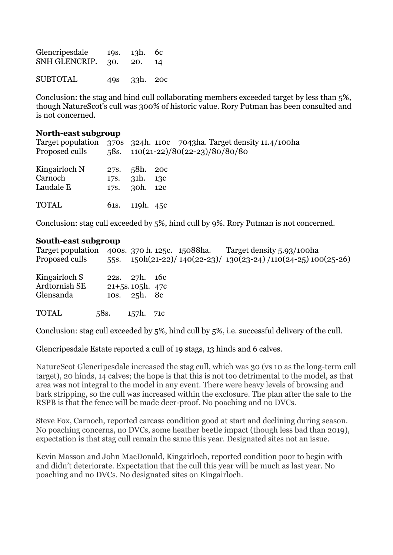| Glencripesdale<br>SNH GLENCRIP. 30. | 19s. 13h. 6c<br>20. 14 |  |
|-------------------------------------|------------------------|--|
| <b>SUBTOTAL</b>                     | 49s 33h. 20c           |  |

Conclusion: the stag and hind cull collaborating members exceeded target by less than 5%, though NatureScot's cull was 300% of historic value. Rory Putman has been consulted and is not concerned.

#### **North-east subgroup**

| Target population 370s 324h. 110c 7043ha. Target density 11.4/100ha<br>Proposed culls |                                                 |  | 58s. $110(21-22)/80(22-23)/80/80/80$ |  |
|---------------------------------------------------------------------------------------|-------------------------------------------------|--|--------------------------------------|--|
| Kingairloch N<br>Carnoch<br>Laudale E                                                 | 27s. 58h. 20c<br>178. 31h. 13c<br>17s. 30h. 12c |  |                                      |  |
| <b>TOTAL</b>                                                                          | 61s. 119h. 45c                                  |  |                                      |  |

Conclusion: stag cull exceeded by 5%, hind cull by 9%. Rory Putman is not concerned.

#### **South-east subgroup**

| Target population<br>Proposed culls         | 55 <sub>S</sub> . |                                                        |  | 400s. 370 h. 125c. 15088 ha. Target density 5.93/100 ha<br>150h(21-22)/ 140(22-23)/ 130(23-24)/110(24-25) 100(25-26) |  |
|---------------------------------------------|-------------------|--------------------------------------------------------|--|----------------------------------------------------------------------------------------------------------------------|--|
| Kingairloch S<br>Ardtornish SE<br>Glensanda |                   | 22s. 27h. 16c<br>$21 + 5s.105h.47c$<br>10s. $25h$ . 8c |  |                                                                                                                      |  |
| <b>TOTAL</b>                                | 58s.              | 157h. 71c                                              |  |                                                                                                                      |  |

Conclusion: stag cull exceeded by 5%, hind cull by 5%, i.e. successful delivery of the cull.

Glencripesdale Estate reported a cull of 19 stags, 13 hinds and 6 calves.

NatureScot Glencripesdale increased the stag cull, which was 30 (vs 10 as the long-term cull target), 20 hinds, 14 calves; the hope is that this is not too detrimental to the model, as that area was not integral to the model in any event. There were heavy levels of browsing and bark stripping, so the cull was increased within the exclosure. The plan after the sale to the RSPB is that the fence will be made deer-proof. No poaching and no DVCs.

Steve Fox, Carnoch, reported carcass condition good at start and declining during season. No poaching concerns, no DVCs, some heather beetle impact (though less bad than 2019), expectation is that stag cull remain the same this year. Designated sites not an issue.

Kevin Masson and John MacDonald, Kingairloch, reported condition poor to begin with and didn't deteriorate. Expectation that the cull this year will be much as last year. No poaching and no DVCs. No designated sites on Kingairloch.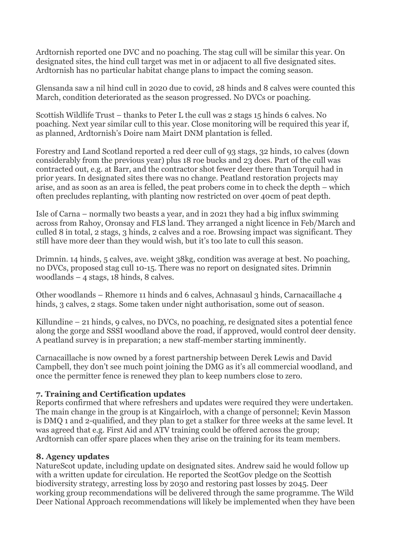Ardtornish reported one DVC and no poaching. The stag cull will be similar this year. On designated sites, the hind cull target was met in or adjacent to all five designated sites. Ardtornish has no particular habitat change plans to impact the coming season.

Glensanda saw a nil hind cull in 2020 due to covid, 28 hinds and 8 calves were counted this March, condition deteriorated as the season progressed. No DVCs or poaching.

Scottish Wildlife Trust – thanks to Peter L the cull was 2 stags 15 hinds 6 calves. No poaching. Next year similar cull to this year. Close monitoring will be required this year if, as planned, Ardtornish's Doire nam Mairt DNM plantation is felled.

Forestry and Land Scotland reported a red deer cull of 93 stags, 32 hinds, 10 calves (down considerably from the previous year) plus 18 roe bucks and 23 does. Part of the cull was contracted out, e.g. at Barr, and the contractor shot fewer deer there than Torquil had in prior years. In designated sites there was no change. Peatland restoration projects may arise, and as soon as an area is felled, the peat probers come in to check the depth – which often precludes replanting, with planting now restricted on over 40cm of peat depth.

Isle of Carna – normally two beasts a year, and in 2021 they had a big influx swimming across from Rahoy, Oronsay and FLS land. They arranged a night licence in Feb/March and culled 8 in total, 2 stags, 3 hinds, 2 calves and a roe. Browsing impact was significant. They still have more deer than they would wish, but it's too late to cull this season.

Drimnin. 14 hinds, 5 calves, ave. weight 38kg, condition was average at best. No poaching, no DVCs, proposed stag cull 10-15. There was no report on designated sites. Drimnin woodlands – 4 stags, 18 hinds, 8 calves.

Other woodlands – Rhemore 11 hinds and 6 calves, Achnasaul 3 hinds, Carnacaillache 4 hinds, 3 calves, 2 stags. Some taken under night authorisation, some out of season.

Killundine – 21 hinds, 9 calves, no DVCs, no poaching, re designated sites a potential fence along the gorge and SSSI woodland above the road, if approved, would control deer density. A peatland survey is in preparation; a new staff-member starting imminently.

Carnacaillache is now owned by a forest partnership between Derek Lewis and David Campbell, they don't see much point joining the DMG as it's all commercial woodland, and once the permitter fence is renewed they plan to keep numbers close to zero.

# **7. Training and Certification updates**

Reports confirmed that where refreshers and updates were required they were undertaken. The main change in the group is at Kingairloch, with a change of personnel; Kevin Masson is DMQ 1 and 2-qualified, and they plan to get a stalker for three weeks at the same level. It was agreed that e.g. First Aid and ATV training could be offered across the group; Ardtornish can offer spare places when they arise on the training for its team members.

# **8. Agency updates**

NatureScot update, including update on designated sites. Andrew said he would follow up with a written update for circulation. He reported the ScotGov pledge on the Scottish biodiversity strategy, arresting loss by 2030 and restoring past losses by 2045. Deer working group recommendations will be delivered through the same programme. The Wild Deer National Approach recommendations will likely be implemented when they have been